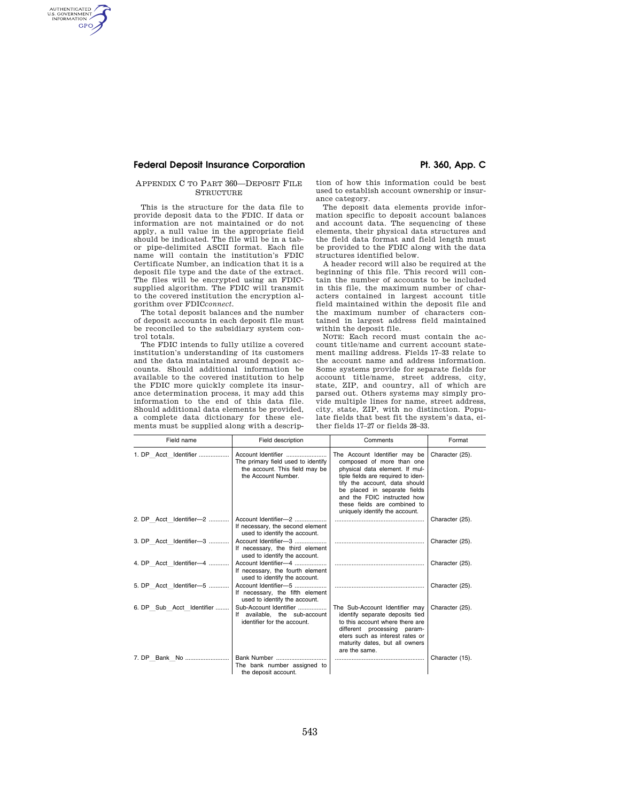### **Federal Deposit Insurance Corporation Pt. 360, App. C**

AUTHENTICATED<br>U.S. GOVERNMENT<br>INFORMATION **GPO** 

### APPENDIX C TO PART 360—DEPOSIT FILE **STRUCTURE**

This is the structure for the data file to provide deposit data to the FDIC. If data or information are not maintained or do not apply, a null value in the appropriate field should be indicated. The file will be in a tabor pipe-delimited ASCII format. Each file name will contain the institution's FDIC Certificate Number, an indication that it is a deposit file type and the date of the extract. The files will be encrypted using an FDICsupplied algorithm. The FDIC will transmit to the covered institution the encryption algorithm over FDIC*connect.* 

The total deposit balances and the number of deposit accounts in each deposit file must be reconciled to the subsidiary system control totals.

The FDIC intends to fully utilize a covered institution's understanding of its customers and the data maintained around deposit accounts. Should additional information be available to the covered institution to help the FDIC more quickly complete its insurance determination process, it may add this information to the end of this data file. Should additional data elements be provided, a complete data dictionary for these elements must be supplied along with a descrip-

tion of how this information could be best used to establish account ownership or insurance category.

The deposit data elements provide information specific to deposit account balances and account data. The sequencing of these elements, their physical data structures and the field data format and field length must be provided to the FDIC along with the data structures identified below.

A header record will also be required at the beginning of this file. This record will contain the number of accounts to be included in this file, the maximum number of characters contained in largest account title field maintained within the deposit file and the maximum number of characters contained in largest address field maintained within the deposit file.

NOTE: Each record must contain the account title/name and current account statement mailing address. Fields 17–33 relate to the account name and address information. Some systems provide for separate fields for account title/name, street address, city, state, ZIP, and country, all of which are parsed out. Others systems may simply provide multiple lines for name, street address, city, state, ZIP, with no distinction. Populate fields that best fit the system's data, either fields 17–27 or fields 28–33.

| Field name                | Field description                                                                           | Comments                                                                                                                                                                                                                                                                                             | Format          |
|---------------------------|---------------------------------------------------------------------------------------------|------------------------------------------------------------------------------------------------------------------------------------------------------------------------------------------------------------------------------------------------------------------------------------------------------|-----------------|
| 1. DP Acct Identifier     | The primary field used to identify<br>the account. This field may be<br>the Account Number. | The Account Identifier may be<br>composed of more than one<br>physical data element. If mul-<br>tiple fields are required to iden-<br>tify the account, data should<br>be placed in separate fields<br>and the FDIC instructed how<br>these fields are combined to<br>uniquely identify the account. | Character (25). |
| 2. DP Acct Identifier-2   | Account Identifier-2<br>If necessary, the second element<br>used to identify the account.   |                                                                                                                                                                                                                                                                                                      | Character (25). |
| 3. DP Acct Identifier-3   | Account Identifier-3<br>If necessary, the third element<br>used to identify the account.    |                                                                                                                                                                                                                                                                                                      | Character (25). |
| 4. DP Acct Identifier-4   | Account Identifier-4<br>If necessary, the fourth element<br>used to identify the account.   |                                                                                                                                                                                                                                                                                                      | Character (25). |
| 5. DP Acct Identifier-5   | Account Identifier-5<br>If necessary, the fifth element<br>used to identify the account.    |                                                                                                                                                                                                                                                                                                      | Character (25). |
| 6. DP Sub Acct Identifier | Sub-Account Identifier<br>If available, the sub-account<br>identifier for the account.      | The Sub-Account Identifier may<br>identify separate deposits tied<br>to this account where there are<br>different processing param-<br>eters such as interest rates or<br>maturity dates, but all owners<br>are the same.                                                                            | Character (25). |
|                           | Bank Number<br>The bank number assigned to<br>the deposit account.                          |                                                                                                                                                                                                                                                                                                      | Character (15). |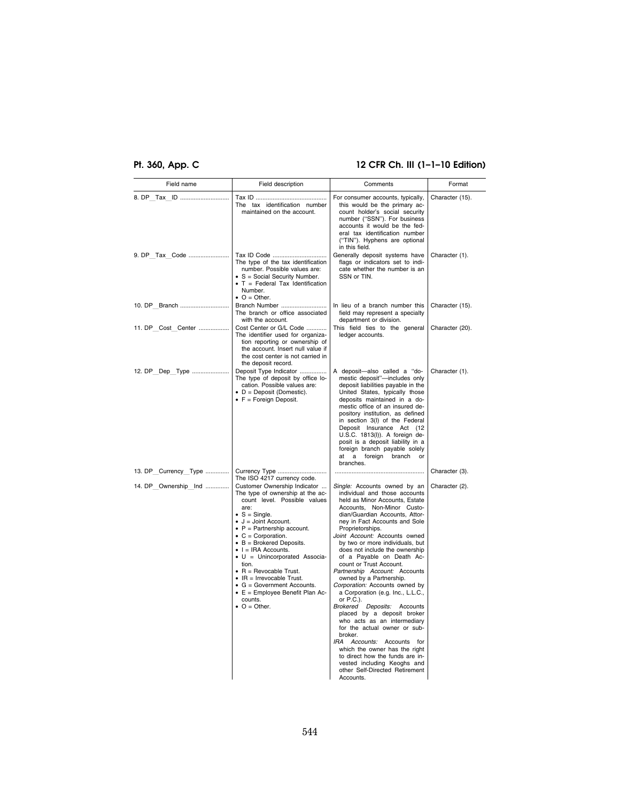## **Pt. 360, App. C 12 CFR Ch. III (1–1–10 Edition)**

| Field name           | Field description                                                                                                                                                                                                                                                                                                                                                                                                                                                                                                                             | Comments                                                                                                                                                                                                                                                                                                                                                                                                                                                                                                                                                                                                                                                                                                                                                                                                                                    | Format          |
|----------------------|-----------------------------------------------------------------------------------------------------------------------------------------------------------------------------------------------------------------------------------------------------------------------------------------------------------------------------------------------------------------------------------------------------------------------------------------------------------------------------------------------------------------------------------------------|---------------------------------------------------------------------------------------------------------------------------------------------------------------------------------------------------------------------------------------------------------------------------------------------------------------------------------------------------------------------------------------------------------------------------------------------------------------------------------------------------------------------------------------------------------------------------------------------------------------------------------------------------------------------------------------------------------------------------------------------------------------------------------------------------------------------------------------------|-----------------|
|                      | The tax identification number<br>maintained on the account.                                                                                                                                                                                                                                                                                                                                                                                                                                                                                   | For consumer accounts, typically,<br>this would be the primary ac-<br>count holder's social security<br>number ("SSN"). For business<br>accounts it would be the fed-<br>eral tax identification number<br>("TIN"). Hyphens are optional<br>in this field.                                                                                                                                                                                                                                                                                                                                                                                                                                                                                                                                                                                  | Character (15). |
|                      | Tax ID Code<br>The type of the tax identification<br>number. Possible values are:<br>• S = Social Security Number.<br>$\bullet$ T = Federal Tax Identification<br>Number.<br>$\bullet$ O = Other.                                                                                                                                                                                                                                                                                                                                             | Generally deposit systems have<br>flags or indicators set to indi-<br>cate whether the number is an<br>SSN or TIN.                                                                                                                                                                                                                                                                                                                                                                                                                                                                                                                                                                                                                                                                                                                          | Character (1).  |
| 10. DP Branch        | Branch Number<br>The branch or office associated<br>with the account.                                                                                                                                                                                                                                                                                                                                                                                                                                                                         | In lieu of a branch number this<br>field may represent a specialty<br>department or division.                                                                                                                                                                                                                                                                                                                                                                                                                                                                                                                                                                                                                                                                                                                                               | Character (15). |
|                      | Cost Center or G/L Code<br>The identifier used for organiza-<br>tion reporting or ownership of<br>the account. Insert null value if<br>the cost center is not carried in<br>the deposit record.                                                                                                                                                                                                                                                                                                                                               | This field ties to the general<br>ledger accounts.                                                                                                                                                                                                                                                                                                                                                                                                                                                                                                                                                                                                                                                                                                                                                                                          | Character (20). |
| 12. DP Dep Type      | Deposit Type Indicator<br>The type of deposit by office lo-<br>cation. Possible values are:<br>$\bullet$ D = Deposit (Domestic).<br>$\bullet$ F = Foreign Deposit.                                                                                                                                                                                                                                                                                                                                                                            | A deposit-also called a "do-<br>mestic deposit"-includes only<br>deposit liabilities payable in the<br>United States, typically those<br>deposits maintained in a do-<br>mestic office of an insured de-<br>pository institution, as defined<br>in section 3(I) of the Federal<br>Deposit Insurance Act (12<br>U.S.C. 1813(I)). A foreign de-<br>posit is a deposit liability in a<br>foreign branch payable solely<br>a foreign branch or<br>at<br>branches.                                                                                                                                                                                                                                                                                                                                                                               | Character (1).  |
| 13. DP_Currency_Type | The ISO 4217 currency code.                                                                                                                                                                                                                                                                                                                                                                                                                                                                                                                   |                                                                                                                                                                                                                                                                                                                                                                                                                                                                                                                                                                                                                                                                                                                                                                                                                                             | Character (3).  |
| 14. DP Ownership Ind | Customer Ownership Indicator<br>The type of ownership at the ac-<br>count level. Possible values<br>are:<br>$\bullet$ S = Single.<br>$\bullet$ J = Joint Account.<br>$\bullet$ P = Partnership account.<br>$\bullet$ C = Corporation.<br>$\bullet$ B = Brokered Deposits.<br>$\bullet$ I = IRA Accounts.<br>$\bullet$ U = Unincorporated Associa-<br>tion.<br>$\bullet$ R = Revocable Trust.<br>$\bullet$ IR = Irrevocable Trust.<br>$\bullet$ G = Government Accounts.<br>• E = Employee Benefit Plan Ac-<br>counts.<br>$\bullet$ O = Other. | Single: Accounts owned by an<br>individual and those accounts<br>held as Minor Accounts, Estate<br>Accounts. Non-Minor Custo-<br>dian/Guardian Accounts, Attor-<br>ney in Fact Accounts and Sole<br>Proprietorships.<br>Joint Account: Accounts owned<br>by two or more individuals, but<br>does not include the ownership<br>of a Payable on Death Ac-<br>count or Trust Account.<br>Partnership Account: Accounts<br>owned by a Partnership.<br>Corporation: Accounts owned by<br>a Corporation (e.g. Inc., L.L.C.,<br>or P.C.).<br>Brokered Deposits: Accounts<br>placed by a deposit broker<br>who acts as an intermediary<br>for the actual owner or sub-<br>hroker<br>IRA Accounts: Accounts for<br>which the owner has the right<br>to direct how the funds are in-<br>vested including Keoghs and<br>other Self-Directed Retirement | Character (2).  |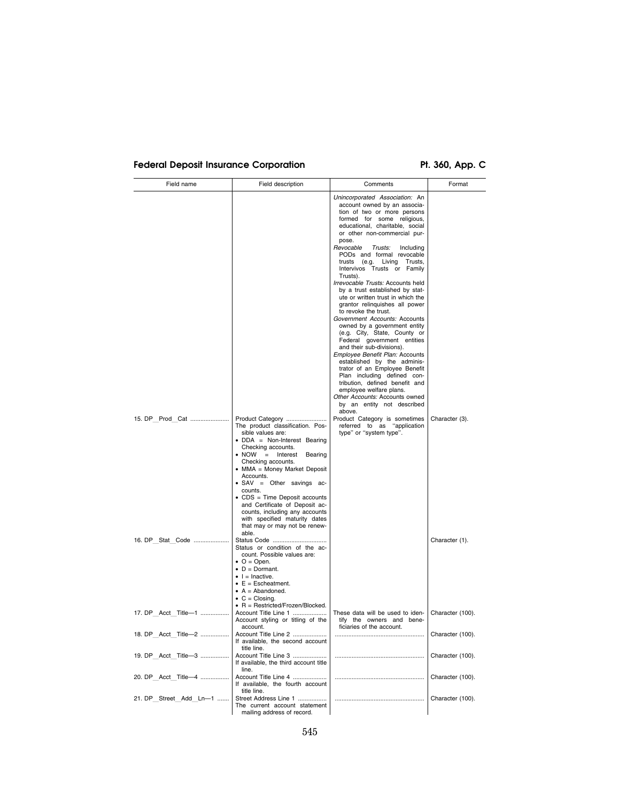# Federal Deposit Insurance Corporation **Pt. 360, App. C**

| Field name             | Field description                                                                                                                                                                                                                                                                                                                                                                                                                                            | Comments                                                                                                                                                                                                                                                                                                                                                                                                                                                                                                                                                                                                                                                                                                                                                                                                                         | Format           |
|------------------------|--------------------------------------------------------------------------------------------------------------------------------------------------------------------------------------------------------------------------------------------------------------------------------------------------------------------------------------------------------------------------------------------------------------------------------------------------------------|----------------------------------------------------------------------------------------------------------------------------------------------------------------------------------------------------------------------------------------------------------------------------------------------------------------------------------------------------------------------------------------------------------------------------------------------------------------------------------------------------------------------------------------------------------------------------------------------------------------------------------------------------------------------------------------------------------------------------------------------------------------------------------------------------------------------------------|------------------|
|                        |                                                                                                                                                                                                                                                                                                                                                                                                                                                              | Unincorporated Association: An<br>account owned by an associa-<br>tion of two or more persons<br>formed for some religious,<br>educational, charitable, social<br>or other non-commercial pur-<br>pose.<br>Revocable<br>Trusts:<br>Including<br>PODs and formal revocable<br>trusts (e.g. Living Trusts,<br>Intervivos Trusts or Family<br>Trusts).<br>Irrevocable Trusts: Accounts held<br>by a trust established by stat-<br>ute or written trust in which the<br>grantor relinquishes all power<br>to revoke the trust.<br>Government Accounts: Accounts<br>owned by a government entity<br>(e.g. City, State, County or<br>Federal government entities<br>and their sub-divisions).<br><i>Employee Benefit Plan: Accounts</i><br>established by the adminis-<br>trator of an Employee Benefit<br>Plan including defined con- |                  |
|                        | Product Category                                                                                                                                                                                                                                                                                                                                                                                                                                             | tribution, defined benefit and<br>employee welfare plans.<br>Other Accounts: Accounts owned<br>by an entity not described<br>above.<br>Product Category is sometimes                                                                                                                                                                                                                                                                                                                                                                                                                                                                                                                                                                                                                                                             | Character (3).   |
|                        | The product classification. Pos-<br>sible values are:<br>• DDA = Non-Interest Bearing<br>Checking accounts.<br>$\bullet$ NOW<br>$\alpha=1$<br>Interest<br>Bearing<br>Checking accounts.<br>• MMA = Money Market Deposit<br>Accounts.<br>· SAV = Other savings ac-<br>counts.<br>• CDS = Time Deposit accounts<br>and Certificate of Deposit ac-<br>counts, including any accounts<br>with specified maturity dates<br>that may or may not be renew-<br>able. | referred to as "application<br>type" or "system type".                                                                                                                                                                                                                                                                                                                                                                                                                                                                                                                                                                                                                                                                                                                                                                           |                  |
| 16. DP Stat Code       | Status Code<br>Status or condition of the ac-<br>count. Possible values are:<br>$\bullet$ O = Open.<br>$\bullet$ D = Dormant.<br>$\bullet$ $\parallel$ = Inactive.<br>$\bullet$ E = Escheatment.<br>$\bullet$ A = Abandoned.<br>$\bullet$ C = Closing.                                                                                                                                                                                                       |                                                                                                                                                                                                                                                                                                                                                                                                                                                                                                                                                                                                                                                                                                                                                                                                                                  | Character (1).   |
| 17. DP Acct Title-1    | $\bullet$ R = Restricted/Frozen/Blocked.<br>Account Title Line 1<br>Account styling or titling of the<br>account.                                                                                                                                                                                                                                                                                                                                            | These data will be used to iden-<br>tify the owners and bene-<br>ficiaries of the account.                                                                                                                                                                                                                                                                                                                                                                                                                                                                                                                                                                                                                                                                                                                                       | Character (100). |
| 18. DP Acct Title-2    | Account Title Line 2<br>If available, the second account<br>title line.                                                                                                                                                                                                                                                                                                                                                                                      |                                                                                                                                                                                                                                                                                                                                                                                                                                                                                                                                                                                                                                                                                                                                                                                                                                  | Character (100). |
| 19. DP Acct Title-3    | Account Title Line 3<br>If available, the third account title<br>line.                                                                                                                                                                                                                                                                                                                                                                                       |                                                                                                                                                                                                                                                                                                                                                                                                                                                                                                                                                                                                                                                                                                                                                                                                                                  | Character (100). |
| 20. DP Acct Title-4    | Account Title Line 4<br>If available, the fourth account<br>title line.                                                                                                                                                                                                                                                                                                                                                                                      |                                                                                                                                                                                                                                                                                                                                                                                                                                                                                                                                                                                                                                                                                                                                                                                                                                  | Character (100). |
| 21. DP Street Add Ln-1 | Street Address Line 1<br>The current account statement<br>mailing address of record.                                                                                                                                                                                                                                                                                                                                                                         |                                                                                                                                                                                                                                                                                                                                                                                                                                                                                                                                                                                                                                                                                                                                                                                                                                  | Character (100). |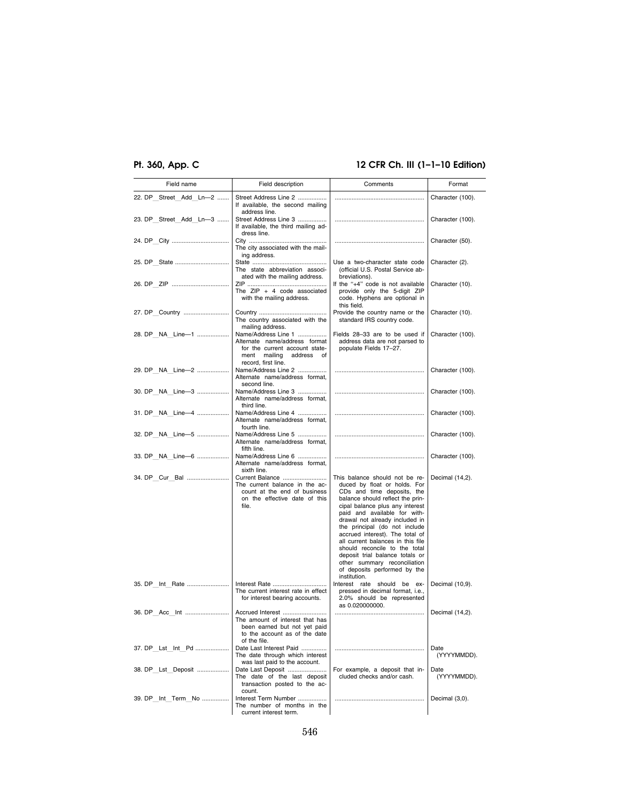## **Pt. 360, App. C 12 CFR Ch. III (1–1–10 Edition)**

| Field name             | Field description                                                                                                                        | Comments                                                                                                                                                                                                                                                                                                                                                                                                                                                                                           | Format              |
|------------------------|------------------------------------------------------------------------------------------------------------------------------------------|----------------------------------------------------------------------------------------------------------------------------------------------------------------------------------------------------------------------------------------------------------------------------------------------------------------------------------------------------------------------------------------------------------------------------------------------------------------------------------------------------|---------------------|
| 22. DP Street Add Ln-2 | Street Address Line 2<br>If available, the second mailing<br>address line.                                                               |                                                                                                                                                                                                                                                                                                                                                                                                                                                                                                    | Character (100).    |
| 23. DP Street Add Ln-3 | Street Address Line 3<br>If available, the third mailing ad-<br>dress line.                                                              |                                                                                                                                                                                                                                                                                                                                                                                                                                                                                                    | Character (100).    |
|                        | The city associated with the mail-                                                                                                       |                                                                                                                                                                                                                                                                                                                                                                                                                                                                                                    | Character (50).     |
|                        | ing address.<br>The state abbreviation associ-<br>ated with the mailing address.                                                         | Use a two-character state code<br>(official U.S. Postal Service ab-<br>breviations).                                                                                                                                                                                                                                                                                                                                                                                                               | Character (2).      |
|                        | The $ZIP + 4$ code associated<br>with the mailing address.                                                                               | If the "+4" code is not available<br>provide only the 5-digit ZIP<br>code. Hyphens are optional in<br>this field.                                                                                                                                                                                                                                                                                                                                                                                  | Character (10).     |
| 27. DP Country         | The country associated with the<br>mailing address.                                                                                      | Provide the country name or the<br>standard IRS country code.                                                                                                                                                                                                                                                                                                                                                                                                                                      | Character (10).     |
| 28. DP NA Line-1       | Name/Address Line 1<br>Alternate name/address format<br>for the current account state-<br>ment mailing address of<br>record, first line. | Fields 28-33 are to be used if<br>address data are not parsed to<br>populate Fields 17-27.                                                                                                                                                                                                                                                                                                                                                                                                         | Character (100).    |
| 29. DP NA Line-2       | Name/Address Line 2<br>Alternate name/address format,<br>second line.                                                                    |                                                                                                                                                                                                                                                                                                                                                                                                                                                                                                    | Character (100).    |
| 30. DP NA Line-3       | Name/Address Line 3<br>Alternate name/address format,<br>third line.                                                                     |                                                                                                                                                                                                                                                                                                                                                                                                                                                                                                    | Character (100).    |
| 31. DP NA Line-4       | Name/Address Line 4<br>Alternate name/address format.<br>fourth line.                                                                    |                                                                                                                                                                                                                                                                                                                                                                                                                                                                                                    | Character (100).    |
| 32. DP NA Line-5       | Name/Address Line 5<br>Alternate name/address format.<br>fifth line.                                                                     |                                                                                                                                                                                                                                                                                                                                                                                                                                                                                                    | Character (100).    |
| 33. DP NA Line-6       | Name/Address Line 6<br>Alternate name/address format,<br>sixth line.                                                                     |                                                                                                                                                                                                                                                                                                                                                                                                                                                                                                    | Character (100).    |
| 34. DP Cur Bal         | Current Balance<br>The current balance in the ac-<br>count at the end of business<br>on the effective date of this<br>file.              | This balance should not be re-<br>duced by float or holds. For<br>CDs and time deposits, the<br>balance should reflect the prin-<br>cipal balance plus any interest<br>paid and available for with-<br>drawal not already included in<br>the principal (do not include<br>accrued interest). The total of<br>all current balances in this file<br>should reconcile to the total<br>deposit trial balance totals or<br>other summary reconciliation<br>of deposits performed by the<br>institution. | Decimal (14,2).     |
| 35. DP Int Rate        | Interest Rate<br>The current interest rate in effect<br>for interest bearing accounts.                                                   | Interest rate should be ex-<br>pressed in decimal format, i.e.,<br>2.0% should be represented<br>as 0.020000000.                                                                                                                                                                                                                                                                                                                                                                                   | Decimal (10,9).     |
|                        | Accrued Interest<br>The amount of interest that has<br>been earned but not yet paid<br>to the account as of the date<br>of the file.     |                                                                                                                                                                                                                                                                                                                                                                                                                                                                                                    | Decimal (14,2).     |
| 37. DP Lst Int Pd      | Date Last Interest Paid<br>The date through which interest<br>was last paid to the account.                                              |                                                                                                                                                                                                                                                                                                                                                                                                                                                                                                    | Date<br>(YYYYMMDD). |
| 38. DP Lst Deposit     | Date Last Deposit<br>The date of the last deposit<br>transaction posted to the ac-<br>count.                                             | For example, a deposit that in-<br>cluded checks and/or cash.                                                                                                                                                                                                                                                                                                                                                                                                                                      | Date<br>(YYYYMMDD). |
| 39. DP Int Term No     | Interest Term Number<br>The number of months in the<br>current interest term.                                                            |                                                                                                                                                                                                                                                                                                                                                                                                                                                                                                    | Decimal (3,0).      |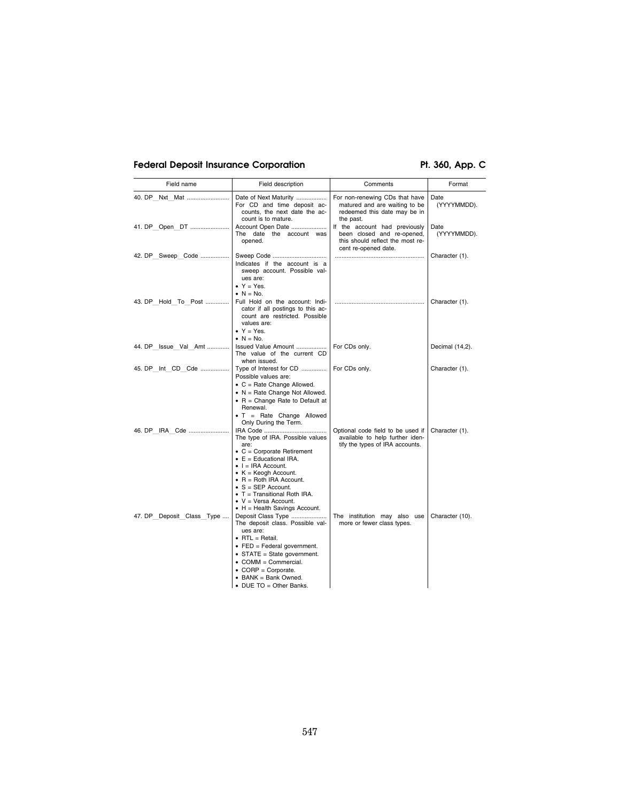## Federal Deposit Insurance Corporation **Pt. 360, App. C**

| Field name                | Field description                                                                                                                                                                                                                                                                                                                                   | Comments                                                                                                                | Format              |
|---------------------------|-----------------------------------------------------------------------------------------------------------------------------------------------------------------------------------------------------------------------------------------------------------------------------------------------------------------------------------------------------|-------------------------------------------------------------------------------------------------------------------------|---------------------|
| 40. DP Nxt Mat            | Date of Next Maturity<br>For CD and time deposit ac-<br>counts, the next date the ac-<br>count is to mature.                                                                                                                                                                                                                                        | For non-renewing CDs that have<br>matured and are waiting to be<br>redeemed this date may be in<br>the past.            | Date<br>(YYYYMMDD). |
| 41. DP Open DT            | Account Open Date<br>The date the account was<br>opened.                                                                                                                                                                                                                                                                                            | If the account had previously<br>been closed and re-opened,<br>this should reflect the most re-<br>cent re-opened date. | Date<br>(YYYYMMDD). |
| 42. DP Sweep Code         | Sweep Code<br>Indicates if the account is a<br>sweep account. Possible val-<br>ues are:<br>$\bullet$ Y = Yes.<br>$\bullet$ N = No.                                                                                                                                                                                                                  |                                                                                                                         | Character (1).      |
| 43. DP Hold To Post       | Full Hold on the account: Indi-<br>cator if all postings to this ac-<br>count are restricted. Possible<br>values are:<br>$Y = Yes.$<br>$\bullet$ N = No.                                                                                                                                                                                            |                                                                                                                         | Character (1).      |
| 44. DP Issue Val Amt      | Issued Value Amount<br>The value of the current CD<br>when issued.                                                                                                                                                                                                                                                                                  | For CDs only.                                                                                                           | Decimal (14,2).     |
| 45. DP Int CD Cde         | Type of Interest for CD<br>Possible values are:<br>$\bullet$ C = Rate Change Allowed.<br>$\bullet$ N = Rate Change Not Allowed.<br>$\bullet$ R = Change Rate to Default at<br>Renewal.<br>$\bullet$ T = Rate Change Allowed<br>Only During the Term.                                                                                                | For CDs only.                                                                                                           | Character (1).      |
| 46. DP IRA Cde            | The type of IRA. Possible values<br>are:<br>$\bullet$ C = Corporate Retirement<br>$\bullet$ E = Educational IRA.<br>$\bullet$ I = IRA Account.<br>• $K = K$ eogh Account.<br>$\bullet$ R = Roth IRA Account.<br>$\bullet$ S = SEP Account.<br>• T = Transitional Roth IRA.<br>$\bullet$ V = Versa Account.<br>$\bullet$ H = Health Savings Account. | Optional code field to be used if<br>available to help further iden-<br>tify the types of IRA accounts.                 | Character (1).      |
| 47. DP Deposit Class Type | Deposit Class Type<br>The deposit class. Possible val-<br>ues are:<br>$\bullet$ RTL = Retail.<br>$\bullet$ FED = Federal government.<br>• STATE = State government.<br>• COMM = Commercial.<br>$\bullet$ CORP = Corporate.<br>• BANK = Bank Owned.<br>$\bullet$ DUE TO = Other Banks.                                                               | The institution may also use<br>more or fewer class types.                                                              | Character (10).     |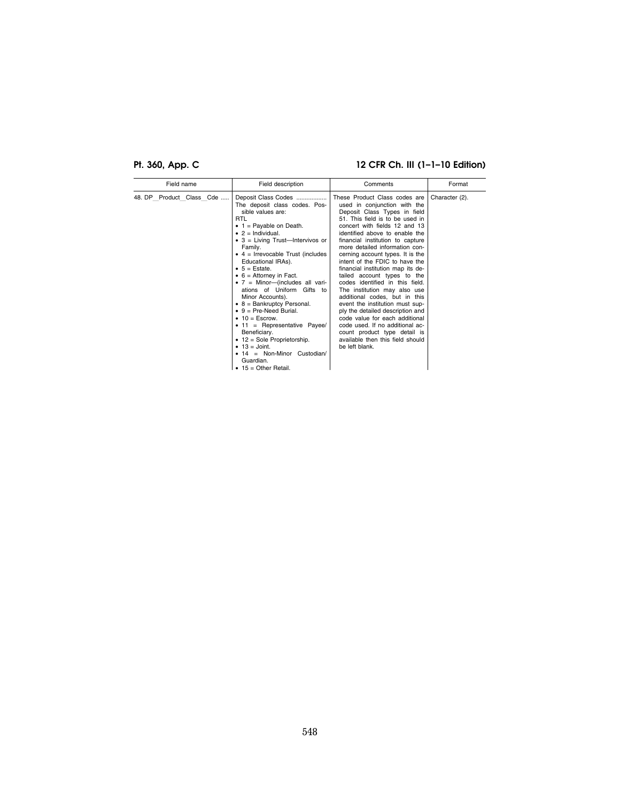## **Pt. 360, App. C 12 CFR Ch. III (1–1–10 Edition)**

| Field name               | Field description                                                                                                                                                                                                                                                                                                                                                                                                                                                                                                                                                                                                                                                                                                                       | Comments                                                                                                                                                                                                                                                                                                                                                                                                                                                                                                                                                                                                                                                                                                                                                  | Format         |
|--------------------------|-----------------------------------------------------------------------------------------------------------------------------------------------------------------------------------------------------------------------------------------------------------------------------------------------------------------------------------------------------------------------------------------------------------------------------------------------------------------------------------------------------------------------------------------------------------------------------------------------------------------------------------------------------------------------------------------------------------------------------------------|-----------------------------------------------------------------------------------------------------------------------------------------------------------------------------------------------------------------------------------------------------------------------------------------------------------------------------------------------------------------------------------------------------------------------------------------------------------------------------------------------------------------------------------------------------------------------------------------------------------------------------------------------------------------------------------------------------------------------------------------------------------|----------------|
| 48. DP Product Class Cde | Deposit Class Codes<br>The deposit class codes. Pos-<br>sible values are:<br><b>RTL</b><br>$\bullet$ 1 = Payable on Death.<br>$\bullet$ 2 = Individual.<br>• $3$ = Living Trust-Intervivos or<br>Family.<br>$\bullet$ 4 = Irrevocable Trust (includes<br>Educational IRAs).<br>$\bullet$ 5 = Estate.<br>$\bullet$ 6 = Attorney in Fact.<br>• $7 =$ Minor----(includes all vari-<br>ations of Uniform Gifts to<br>Minor Accounts).<br>$\bullet$ 8 = Bankruptcy Personal.<br>$\bullet$ 9 = Pre-Need Burial.<br>$\bullet$ 10 = Escrow.<br>$\bullet$ 11 = Representative Payee/<br>Beneficiary.<br>• 12 = Sole Proprietorship.<br>$\bullet$ 13 = Joint.<br>$\bullet$ 14 = Non-Minor Custodian/<br>Guardian.<br>$\bullet$ 15 = Other Retail. | These Product Class codes are<br>used in conjunction with the<br>Deposit Class Types in field<br>51. This field is to be used in<br>concert with fields 12 and 13<br>identified above to enable the<br>financial institution to capture<br>more detailed information con-<br>cerning account types. It is the<br>intent of the FDIC to have the<br>financial institution map its de-<br>tailed account types to the<br>codes identified in this field.<br>The institution may also use<br>additional codes, but in this<br>event the institution must sup-<br>ply the detailed description and<br>code value for each additional<br>code used. If no additional ac-<br>count product type detail is<br>available then this field should<br>be left blank. | Character (2). |